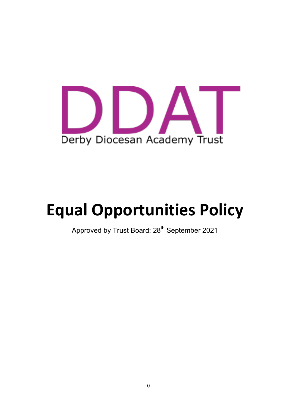

# **Equal Opportunities Policy**

Approved by Trust Board: 28<sup>th</sup> September 2021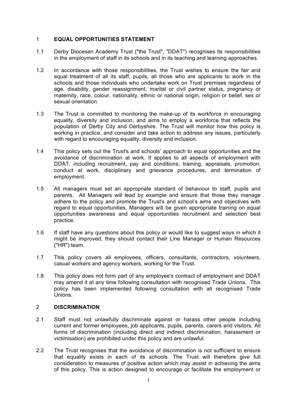### 1 **EQUAL OPPORTUNITIES STATEMENT**

- 1.1 Derby Diocesan Academy Trust ("the Trust", "DDAT") recognises its responsibilities in the employment of staff in its schools and in its teaching and learning approaches.
- 1.2 In accordance with those responsibilities, the Trust wishes to ensure the fair and equal treatment of all its staff, pupils, all those who are applicants to work in the schools and those individuals who undertake work on Trust premises regardless of age, disability, gender reassignment, marital or civil partner status, pregnancy or maternity, race, colour, nationality, ethnic or national origin, religion or belief, sex or sexual orientation.
- 1.3 The Trust is committed to monitoring the make-up of its workforce in encouraging equality, diversity and inclusion, and aims to employ a workforce that reflects the population of Derby City and Derbyshire. The Trust will monitor how this policy is working in practice, and consider and take action to address any issues, particularly with regard to encouraging equality, diversity and inclusion.
- 1.4 This policy sets out the Trust's and schools' approach to equal opportunities and the avoidance of discrimination at work. It applies to all aspects of employment with DDAT, including recruitment, pay and conditions, training, appraisals, promotion, conduct at work, disciplinary and grievance procedures, and termination of employment.
- 1.5 All managers must set an appropriate standard of behaviour to staff, pupils and parents. All Managers will lead by example and ensure that those they manage adhere to the policy and promote the Trust's and school's aims and objectives with regard to equal opportunities. Managers will be given appropriate training on equal opportunities awareness and equal opportunities recruitment and selection best practice.
- 1.6 If staff have any questions about this policy or would like to suggest ways in which it might be improved, they should contact their Line Manager or Human Resources ("HR") team.
- 1.7 This policy covers all employees, officers, consultants, contractors, volunteers, casual workers and agency workers, working for the Trust.
- 1.8 This policy does not form part of any employee's contract of employment and DDAT may amend it at any time following consultation with recognised Trade Unions. This policy has been implemented following consultation with all recognised Trade Unions.

## 2 **DISCRIMINATION**

- 2.1 Staff must not unlawfully discriminate against or harass other people including current and former employees, job applicants, pupils, parents, carers and visitors. All forms of discrimination (including direct and indirect discrimination, harassment or victimisation) are prohibited under this policy and are unlawful.
- 2.2 The Trust recognises that the avoidance of discrimination is not sufficient to ensure that equality exists in each of its schools. The Trust will therefore give full consideration to measures of positive action which may assist in achieving the aims of this policy. This is action designed to encourage or facilitate the employment or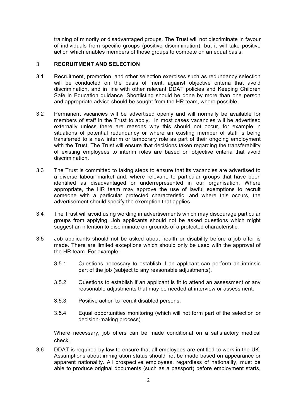training of minority or disadvantaged groups. The Trust will not discriminate in favour of individuals from specific groups (positive discrimination), but it will take positive action which enables members of those groups to compete on an equal basis.

## 3 **RECRUITMENT AND SELECTION**

- 3.1 Recruitment, promotion, and other selection exercises such as redundancy selection will be conducted on the basis of merit, against objective criteria that avoid discrimination, and in line with other relevant DDAT policies and Keeping Children Safe in Education guidance. Shortlisting should be done by more than one person and appropriate advice should be sought from the HR team, where possible.
- 3.2 Permanent vacancies will be advertised openly and will normally be available for members of staff in the Trust to apply. In most cases vacancies will be advertised externally unless there are reasons why this should not occur, for example in situations of potential redundancy or where an existing member of staff is being transferred to a new interim or temporary role as part of their ongoing employment with the Trust. The Trust will ensure that decisions taken regarding the transferability of existing employees to interim roles are based on objective criteria that avoid discrimination.
- 3.3 The Trust is committed to taking steps to ensure that its vacancies are advertised to a diverse labour market and, where relevant, to particular groups that have been identified as disadvantaged or underrepresented in our organisation. Where appropriate, the HR team may approve the use of lawful exemptions to recruit someone with a particular protected characteristic, and where this occurs, the advertisement should specify the exemption that applies.
- 3.4 The Trust will avoid using wording in advertisements which may discourage particular groups from applying. Job applicants should not be asked questions which might suggest an intention to discriminate on grounds of a protected characteristic.
- 3.5 Job applicants should not be asked about health or disability before a job offer is made. There are limited exceptions which should only be used with the approval of the HR team. For example:
	- 3.5.1 Questions necessary to establish if an applicant can perform an intrinsic part of the job (subject to any reasonable adjustments).
	- 3.5.2 Questions to establish if an applicant is fit to attend an assessment or any reasonable adjustments that may be needed at interview or assessment.
	- 3.5.3 Positive action to recruit disabled persons.
	- 3.5.4 Equal opportunities monitoring (which will not form part of the selection or decision-making process).

Where necessary, job offers can be made conditional on a satisfactory medical check.

3.6 DDAT is required by law to ensure that all employees are entitled to work in the UK. Assumptions about immigration status should not be made based on appearance or apparent nationality. All prospective employees, regardless of nationality, must be able to produce original documents (such as a passport) before employment starts,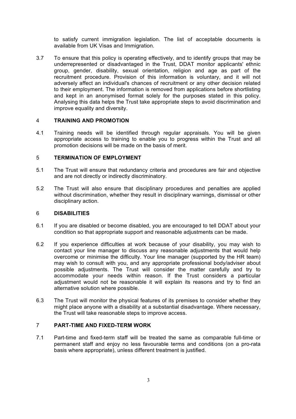to satisfy current immigration legislation. The list of acceptable documents is available from UK Visas and Immigration.

3.7 To ensure that this policy is operating effectively, and to identify groups that may be underrepresented or disadvantaged in the Trust, DDAT monitor applicants' ethnic group, gender, disability, sexual orientation, religion and age as part of the recruitment procedure. Provision of this information is voluntary, and it will not adversely affect an individual's chances of recruitment or any other decision related to their employment. The information is removed from applications before shortlisting and kept in an anonymised format solely for the purposes stated in this policy. Analysing this data helps the Trust take appropriate steps to avoid discrimination and improve equality and diversity.

### 4 **TRAINING AND PROMOTION**

4.1 Training needs will be identified through regular appraisals. You will be given appropriate access to training to enable you to progress within the Trust and all promotion decisions will be made on the basis of merit.

#### 5 **TERMINATION OF EMPLOYMENT**

- 5.1 The Trust will ensure that redundancy criteria and procedures are fair and objective and are not directly or indirectly discriminatory.
- 5.2 The Trust will also ensure that disciplinary procedures and penalties are applied without discrimination, whether they result in disciplinary warnings, dismissal or other disciplinary action.

#### 6 **DISABILITIES**

- 6.1 If you are disabled or become disabled, you are encouraged to tell DDAT about your condition so that appropriate support and reasonable adjustments can be made.
- 6.2 If you experience difficulties at work because of your disability, you may wish to contact your line manager to discuss any reasonable adjustments that would help overcome or minimise the difficulty. Your line manager (supported by the HR team) may wish to consult with you, and any appropriate professional body/adviser about possible adjustments. The Trust will consider the matter carefully and try to accommodate your needs within reason. If the Trust considers a particular adjustment would not be reasonable it will explain its reasons and try to find an alternative solution where possible.
- 6.3 The Trust will monitor the physical features of its premises to consider whether they might place anyone with a disability at a substantial disadvantage. Where necessary, the Trust will take reasonable steps to improve access.

# 7 **PART-TIME AND FIXED-TERM WORK**

7.1 Part-time and fixed-term staff will be treated the same as comparable full-time or permanent staff and enjoy no less favourable terms and conditions (on a pro-rata basis where appropriate), unless different treatment is justified.